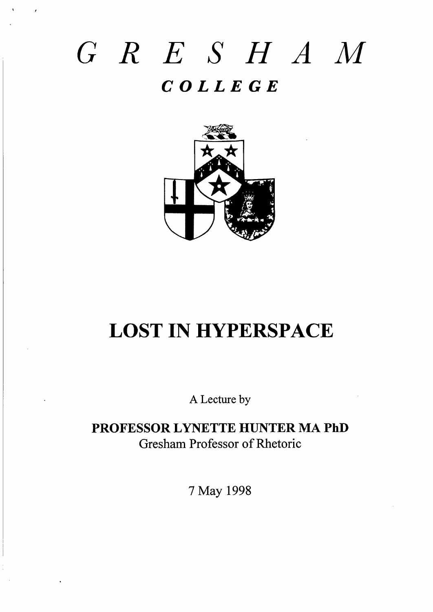# *GRE SHAM COLLEGE*

i



# LOST IN HYPERSPACE

A Lectire by

**PROFESSOR LYNETTE HUNTER MA PhD** Gresham Professor of Rhetoric

**7** May 1998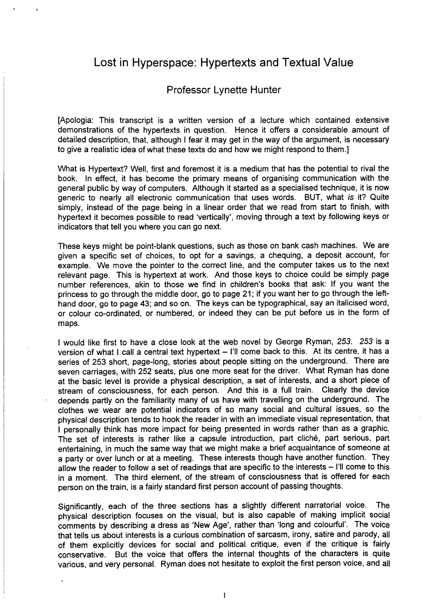### Lost in Hyperspace: Hypertexts and Textual Value

#### Professor Lynette Hunter

[Apologia: This transcript is a written version of a lecture which contained extensive demonstrations of the hypertexts in question. Hence it offers a considerable amount of detailed description, that, although I fear it may get in the way of the argument, is necessary to give a realistic idea of what these texts do and how we might respond to them.]

What is Hypertext? Well, first and foremost it is a medium that has the potential to rival the book. In effect, it has become the primary means of organizing communication with the general public by way of computers. Although it started as a specialised technique, it is now generic to nearly all electronic communication that uses words. BUT, what is it? Quite simply, instead of the page being in a linear order that we read from start to finish, with hypertext it becomes possible to read 'vertically', moving through a text by following keys or indicators that tell you where you can go next.

These keys might be point-blank questions, such as those on bank cash machines. We are given a specific set of choices, to opt for a savings, a chequing, a deposit account, for example. We move the pointer to the correct line, and the computer takes us to the next relevant page. This is hypertext at work. And those keys to choice could be simply page number references, akin to those we find in children's books that ask: If you want the princess to go through the middle door, go to page 21; if you want her to go through the lefthand door, go to page 43; and so on. The keys can be typographical, say an italicised word, or colour co-ordinated, or numbered, or indeed they can be put before us in the form of maps.

I would like first to have a close look at the web novel by George Ryman, 253. 253 is a version of what I call a central text hypertext  $-$  I'll come back to this. At its centre, it has a series of 253 short, page-long, stories about people sitting on the underground. There are seven carriages, with 252 seats, plus one more seat for the driver. What Ryman has done at the basic level is provide a physical description, a set of interests, and a short piece of stream of consciousness, for each person. And this is a full train. Clearly the device depends partly on the familiarity many of us have with traveling on the underground. The clothes we wear are potential indicators of so many social and cultural issues, so the physical description tends to hook the reader in with an immediate visual representation, that I personally think has more impact for being presented in words rather than as a graphic. The set of interests is rather like a capsule introduction, part cliché, part serious, part entertaining, in much the same way that we might make a brief acquaintance of someone at a party or over lunch or at a meeting. These interests though have another function. They allow the reader to follow a set of readings that are specific to the interests - I'll come to this in a moment. The third element, of the stream of consciousness that is offered for each person on the train, is a fairly standard first person account of passing thoughts.

Significantly, each of the three sections has a slightly different narratorial voice. The physical description focuses on the visual, but is also capable of making implicit social comments by describing a dress as 'New Age', rather than 'long and coloutiul'. The voice that tells us about interests is a **curious combination** of sarcasm, irony, satire and parody, all of them explicitly devices for social and political critique, even if the critique is fairly conservative. But the voice that offers the internal thoughts of the characters is quite various, and very personal. Ryman does not hesitate to exploit the first person voice, and all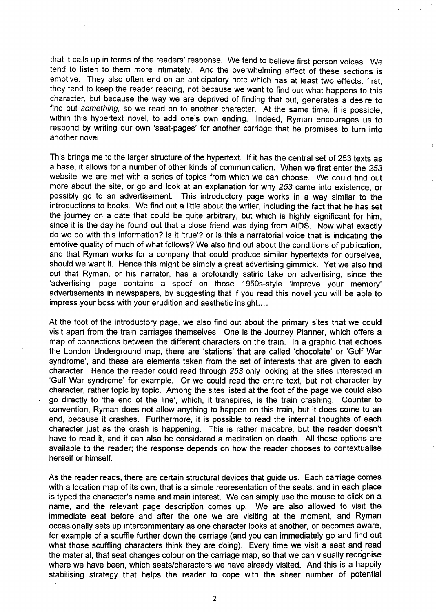that it calls up in terms of the readers' response. We tend to believe first person voices. We tend to listen to them more intimately. And the overwhelming effect of these sections is emotive. They also often end on an anticipatory note which has at least two effects: first, they tend to keep the reader reading, not because we want to find out what happens to this character, but because the way we are deprived of finding that out, generates a desire to find out something, so we read on to another character. At the same time, it is possible, within this hypertext novel, to add one's own ending. Indeed, Ryman encourages us to respond by writing our own 'seat-pages' for another carriage that he promises to turn into another novel.

This brings me to the larger structure of the hypertext. If it has the central set of 253 texts as a base, it allows for a number of other kinds of communication. When we first enter the 253 website, we are met with a series of topics from which we can choose. We could find out more about the site, or go and look at an explanation for why 253 came into existence, or possibly go to an advertisement. This introductory page works in a way similar to the introductions to books. We find out a little about the writer, including the fact that he has set the journey on a date that could be quite arbitrary, but which is highly significant for him, since it is the day he found out that a close friend was dying from AIDS. Now what exactly do we do with this information? is it 'true'? or is this a narratorial voice that is indicating the emotive quality of much of what follows? We also find out about the conditions of publication, and that Ryman works for a company that could produce similar hypertexts for ourselves, should we want it. Hence this might be simply a great advertising gimmick. Yet we also find out that Ryman, or his narrator, has a profoundly satiric take on advertising, since the 'advertising' page contains a spoof on those 1950s-style 'improve your memory' advertisements in newspapers, by suggesting that if you read this novel you will be able to impress your boss with your erudition and aesthetic insight....

At the foot of the introductory page, we also find out about the primary sites that we could visit apart from the train carriages themselves. One is the Journey Planner, which offers a map of connections between the different characters on the train. In a graphic that echoes the London Underground map, there are 'stations' that are called 'chocolate' or 'Gulf War syndrome', and these are elements taken from the set of interests that are given to each character. Hence the reader could read through 253 only looking at the sites interested in 'Gulf War syndrome' for example. Or we could read the entire text, but not character by character, rather topic by topic. Among the sites listed at the foot of the page we could also go directly to 'the end of the line', which, it transpires, is the train crashing. Counter to convention, Ryman does not allow anything to happen on this train, but it does come to an end, because it crashes. Furthermore, it is possible to read the internal thoughts of each character just as the crash is happening. This is rather macabre, but the reader doesn't have to read it, and it can also be considered a meditation on death. All these options are available to the reader; the response depends on how the reader chooses to contextualise herself or himself.

As the reader reads, there are certain structural devices that guide us. Each carriage comes with a location map of its own, that is a simple representation of the seats, and in each place is typed the character's name and main interest. We can simply use the mouse to click on a name, and the relevant page description comes up. We are also allowed to visit the immediate seat before and after the one we are visiting at the moment, and Ryman occasionally sets up intercommentary as one character looks at another, or becomes aware, for example of a scuffle further down the carriage (and you can immediately go and find out what those scuffling characters think they are doing). Every time we visit a seat and read the material, that seat changes colour on the carriage map, so that we can visually recognise where we have been, which seats/characters we have already visited. And this is a happily stabilising strategy that helps the reader to cope with the sheer number of potential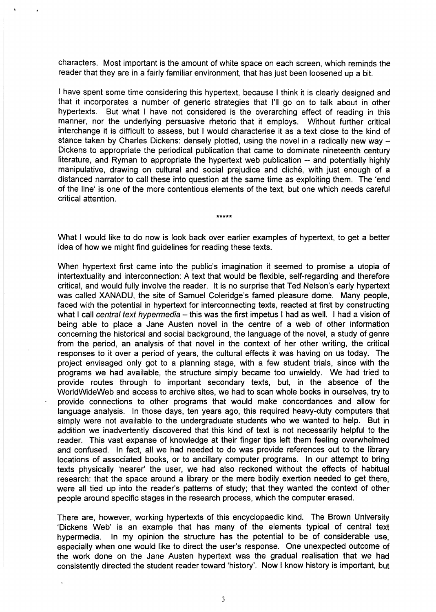characters. Most important is the amount of white space on each screen, which reminds the reader that they are in a fairly familiar environment, that has just been loosened up a bit.

I have spent some time considering this hypertext, because I think it is clearly designed and that it incorporates a number of generic strategies that I'll go on to talk about in other hypertexts. But what I have not considered is the overarching effect of reading in this manner, nor the underlying persuasive rhetoric that it employs. Without further critical interchange it is difficult to assess, but I would characterise it as a text close to the kind of stance taken by Charles Dickens: densely plotted, using the novel in a radically new way  $-$ Dickens to appropriate the periodical publication that came to dominate nineteenth century literature, and Ryman to appropriate the hypertext web publication -- and potentially highly manipulative, drawing on cultural and social prejudice and cliché, with just enough of a distanced narrator to call these into question at the same time as exploiting them. The 'end of the line' is one of the more contentious elements of the text, but one which needs careful critical attention.

\*\*\*\*\*

What I would like to do now is look back over earlier examples of hypertext, to get a better idea of how we might find guidelines for reading these texts.

When hypertext first came into the public's imagination it seemed to promise a utopia of intertextuality and interconnection: A text that would be flexible, self-regarding and therefore critical, and would fully involve the reader. It is no surprise that Ted Nelson's early hypertext was called WNADU, the site of Samuel Coleridge's famed pleasure dome. Many people, faced with the potential in hypertext for interconnecting texts, reacted at first by constructing what I call central text hypermedia - this was the first impetus I had as well. I had a vision of being able to place a Jane Austen novel in the centre of a web of other information concerning the historical and social background, the language of the novel, a study of genre from the period, an analysis of that novel in the context of her other writing, the critical responses to it over a period of years, the cultural effects it was having on us today. The project envisaged only got to a planning stage, with a few student trials, since with the programs we had available, the structure simply became too unwieldy. We had tried to provide routes through to important secondary texts, but, in the absence of the WorldWideWeb and access to archive sites, we had to scan whole books in ourselves, try to provide connections to other programs that would make concordances and allow for language analysis. In those days, ten years ago, this required heavy-duty computers that simply were not available to the undergraduate students who we wanted to help. But in addition we inadvertently discovered that this kind of text is not necessarily helpful to the reader. This vast expanse of knowledge at their finger tips left them feeling overwhelmed and confused. In fact, all we had needed to do was provide references out to the library locations of associated books, or to ancillary computer programs. In our attempt to bring texts physically 'nearer' the user, we had also reckoned without the effects of habitual research: that the space around a library or the mere bodily exertion needed to get there, were all tied up into the reader's patterns of study; that they wanted the context of other people around specific stages in the research process, which the computer erased.

There are, however, working hypertexts of this encyclopaedic kind. The Brown University 'Dickens Web' is an example that has many of the elements typical of central text hypermedia. In my opinion the structure has the potential to be of considerable use, especially when one would like to direct the user's response. One unexpected outcome of the work done on the Jane Austen hypertext was the gradual realisation that we hac consistently directed the student reader toward 'history'. Now I know history is important, bu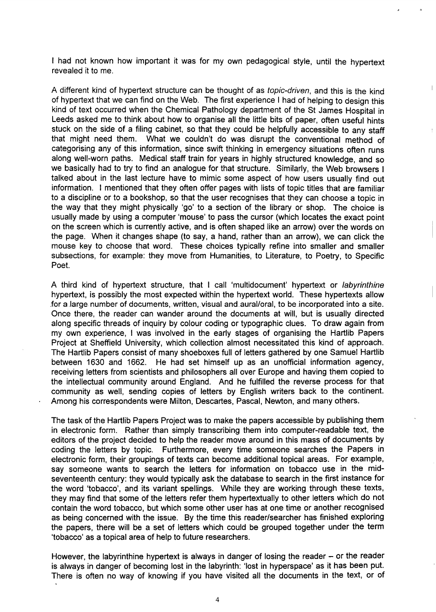I had not known how important it was for my own pedagogical style, until the hypertext revealed it to me.

,,

 $\overline{a}$ 

**A** different kind of hypertext structure can be thought of as topic-driven, and this is the kind of hypertext that we can find on the Web. The first experience I had of helping to design this kind of text occurred when the Chemical Pathology department of the St James Hospital in Leeds asked me to think about how to organise all the little bits of paper, often useful hints stuck on the side of a filing cabinet, so that they could be helpfuliy accessible to any staff that might need them. What we couldn't do was disrupt the conventional method of categorising any of this information, since swift thinking in emergency situations often runs along well-worn paths. Medical staff train for years in highly structured knowledge, and so we basically had to try to find an analogue for that structure. Similarly, the Web browsers I talked about in the last lecture have to mimic some aspect of how users usually find out information. I mentioned that they often offer pages with lists of topic titles that are familiar to a discipline or to a bookshop, so that the user recognises that they can choose a topic in the way that they might physically 'go' to a section of the library or shop. The choice is usually made by using a computer 'mouse' to pass the cursor (which locates the exact point on the screen which is currently active, and is often shaped like an arrow) over the words on the page. When it changes shape (to say, a hand, rather than an arrow), we can click the mouse key to choose that word. These choices typically refine into smaller and smaller subsections, for example: they move from Humanities, to Literature, to Poetry, to Specific Poet.

A third kind of hypertext structure, that I call 'multidocument' hypertext or labyrinthine hypertext, is possibly the most expected within the hypertext world. These hypertexts allow for a large number of documents, written,. visual and.aural/oral, to be incorporated into a site. Once there, the reader can wander around the documents at will, but is usually directed along specific threads of inquiry by colour coding or typographic clues. To draw again from my own experience, I was involved in the early stages of organizing the Hartlib Papers Project at Shefield University, which collection almost necessitated this kind of approach. The Hartlib Papers consist of many shoeboxes full of letters gathered by one Samuel Hartlib between 1630 and 1662. He had set himself up as an unoficial information agency, receiving letters from scientists and philosophers all over Europe and having them copied to the intellectual community around England. And he fulfilled the reverse process for that community as well, sending copies of letters by English writers back to the continent. Among his correspondents were Milton, Descartes, Pascal, Newton, and many others.

The task of the Hartlib Papers Project was to make the papers accessible by publishing them in electronic form. Rather than simply transcribing them into computer-readable text, the editors of the project decided to help the reader move around in this mass of documents by coding the letters by topic. Furthermore, every time someone searches the Papers in electronic form, their groupings of texts can become additional topical areas. For example, say someone wants to search the letters for information on tobacco use in the midseventeenth century: they would typically ask the database to search in the first instance for the word 'tobacco', and its variant spellings. While they are working through these texts, they may find that some of the letters refer them hypertextually to other letters which do not contain the word tobacco, but which some other user has at one time or another recognised as being concerned with the issue. By the time this reader/searcher has finished explofing the papers, there will be a set of letters which could be grouped together under the term 'tobacco' as a topical area of help to future researchers.

However, the labyrinthine hypertext is always in danger of losing the reader – or the reader is always in danger of becoming lost in the labyrinth: 'lost in hyperspace' as it has been put. There is often no way of knowing if you have visited all the documents in the text, or of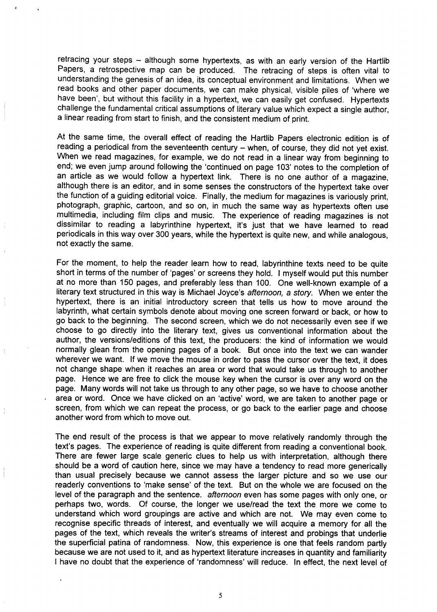retracing your steps - although some hypertexts, as with an early version of the Hartlib Papers, a retrospective map can be produced. The retracing of steps is often vital to understanding the genesis of an idea, its conceptual environment and limitations. When we read books and other paper documents, we can make physical, visible piles of 'where we have been', but without this facility in a hypertext, we can easily get confused. Hypertexts challenge the fundamental critical assumptions of literary value which expect a single author, a linear reading from start to finish, and the consistent medium of print.

At the same time, the overall effect of reading the Hartlib Papers electronic edition is of reading a periodical from the seventeenth century – when, of course, they did not yet exist. When we read magazines, for example, we do not read in a linear way from beginning to end; we even jump around following the 'continued on page 103' notes to the completion of an article as we would follow a hypertext link. There is no one author of a magazine, although there is an editor, and in some senses the constructors of the hypertext take over the function of a guiding editorial voice. Finally, the medium for magazines is variously print, photograph, graphic, cartoon, and so on, in much the same way as hypertexts often use multimedia, including film clips and music. The experience of reading magazines is not dissimilar to reading a Iabyrinthine hypertext, it's just that we have learned to read periodicals in this way over 300 years, while the hypertext is quite new, and while analogous, not exactly the same.

For the moment, to help the reader learn how to read, Iabyrinthine texts need to be quite short in terms of the number of 'pages' or screens they hold. I myself would put this number at no more than 150 pages, and preferably less than 100. One well-known example of a literary text structured in this way is Michael Joyce's afternoon, a story. When we enter the hypertext, there is an initial introductory screen that tells us how to move around the labyrinth, what certain symbols denote about moving one screen forward or back, or how to go back to the beginning. The second screen, which we do not necessarily even see if we choose to go directly into the literary text, gives us conventional information about the author, the versions/editions of this text, the producers: the kind of information we would normally glean from the opening pages of a book. But once into the text we can wander wherever we want. If we move the mouse in order to pass the cursor over the text, it does not change shape when it reaches an area or word that would take us through to another page. Hence we are free to click the mouse key when the cursor is over any word on the page. Many words will not take us through to any other page, so we have to choose another area or word. Once we have clicked on an 'active' word, we are taken to another page or screen, from which we can repeat the process, or go back to the earlier page and choose another word from which to move out.

The end result of the process is that we appear to move relatively randomly through the text's pages. The experience of reading is quite different from reading a conventional book. There are fewer large scale generic clues to help us with interpretation, although there should be a word of caution here, since we may have a tendency to read more generically than usual precisely because we cannot assess the larger picture and so we use our readerly conventions to 'make sense' of the text. But on the whole we are focused on the level of the paragraph and the sentence. affernoon even has some pages with only one, or perhaps two, words. Of course, the longer we use/read the text the more we come to understand which word groupings are active and which are not. We may even come to recognise specific threads of interest, and eventually we will acquire a memory for all the pages of the text, which reveals the writer's streams of interest and probings that underlie the superficial patina of randomness. Now, this experience is one that feels random partly because we are not used to it, and as hypertext literature increases in quantity and familiarity I have no doubt that the experience of 'randomness' will reduce. In effect, the next level of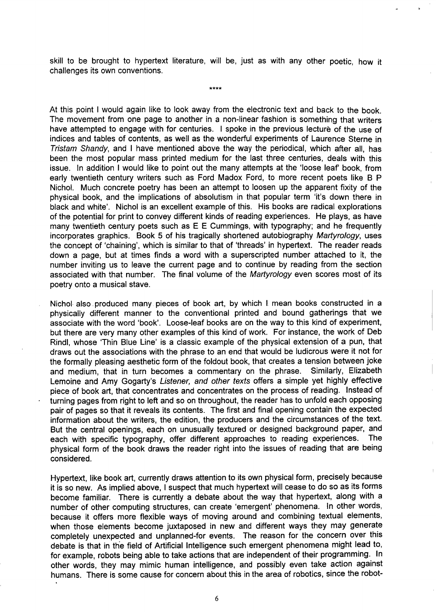skill to be brought to hypertext literature, will be, just as with any other poetic, how it challenges its own conventions.

\*\*\*\*

 $\mathfrak{g}$ , lb

At this point I would again like to look away from the electronic text and back to the book. The movement from one page to another in a non-linear fashion is something that writers have attempted to engage with for centuries. I spoke in the previous lecture of the use of indices and tables of contents, as well as the wonderful experiments of Laurence Sterne in Trisfam Shandy, and I have mentioned above the way the periodical, which after all, has been the most popular mass printed medium for the last three centuries, deals with this issue. In addition I would like to point out the many attempts at the 'loose leaf book, from early twentieth century writers such as Ford Madox Ford, to more recent poets like B P Nichol. Much concrete poetry has been an attempt to loosen up the apparent fixity of the physical book, and the implications of absolutism in that popular term 'it's down there in black and white'. Nichol is an excellent example of this. His books are radical explorations of the potential for print to convey different kinds of reading experiences. He plays, as have many twentieth century poets such as E E Cummings, with typography; and he frequently incorporates graphics. Book 5 of his tragically shortened autobiography Martyrology, uses the concept of 'chaining', which is similar to that of 'threads' in hypertext. The reader reads down a page, but at times finds a word with a superscripted number attached to it, the number inviting us to leave the current page and to continue by reading from the section associated with that number. The final volume of the Martyrology even scores most of its poetry onto a musical stave.

Nichol- also. produced many pieces of book art, by which I mean books constructed in a physically different manner to the conventional printed and bound gatherings that we associate with the word 'book. Loose-leaf books are on the way to this kind of experiment, but there are very many other examples of this kind of work. For instance, the work of Deb Rindl, whose 'Thin Blue Line' is a classic example of the physical extension of a pun, that draws out the associations with the phrase to an end that would be ludicrous were it not for the formally pleasing aesthetic form of the foldout book, that creates a tension between joke and medium, that in turn becomes a commentary on the phrase. Similarly, Elizabeth Lemoine and Amy Gogarty's Listener, and other texts offers a simple yet highly effective piece of book art, that concentrates and concentrates on the process of reading. Instead of turning pages from right to left and so on throughout, the reader has to unfold each opposing pair of pages so that it reveals its contents. The first and final opening contain the expected information about the writers, the edition, the producers and the circumstances of the text. But the central openings, each on unusually textured or designed background paper, and<br>each with specific typography, offer different approaches to reading experiences. The each with specific typography, offer different approaches to reading experiences. physical form of the book draws the reader right into the issues of reading that are being considered.

Hypertext, like book art, currently draws attention to its own physical form, precisely because it is so new. As implied above, I suspect that much hypertext will cease to do so as its forms become familiar. There is currently a debate about the way that hypertext, along with a number of other computing structures, can create 'emergent' phenomena. In other words, because it offers more flexible ways of moving around and combining textual elements, when those elements become juxtaposed in new and different ways they may generate completely unexpected and unplanned-for events. The reason for the concern over this debate is that in the field of Artificial Intelligence such emergent phenomena might lead to, for example, robots being able to take actions that are independent of their programming. In other words, they may mimic human intelligence, and possibly even take action against humans. There is some cause for concern about this in the area of robotics, since the robot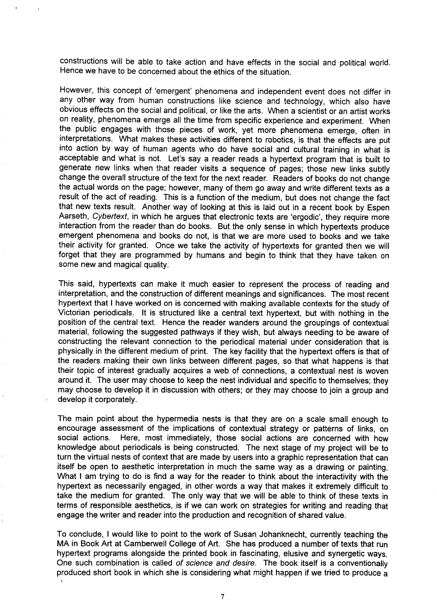constructions will be able to take action and have effects in the social and political world, Hence we have to be concerned about the ethics of the situation.

However, this concept of 'emergent' phenomena and independent event does not differ in any other way from human constructions like science and technology, which also have obvious effects on the social and political, or like the arts. When a scientist or an artist works on reality, phenomena emerge all the time from specific experience and experiment. When the public engages with those pieces of work, yet more phenomena emerge, often in interpretations. What makes these activities different to robotics, is that the effects are put into action by way of human agents who do have social and cultural training in what is acceptable and what is not. Let's say a reader reads a hypertext program that is built to generate new links when that reader visits a sequence of pages; those new links subtly change the overall structure of the text for the next reader. Readers of books do not change the actual words on the page; however, many of them go away and write different texts as a result of the act of reading. This is a function of the medium, but does not change the fact that new texts result. Another way of looking at this is laid out in a recent book by Espen Aarseth, Cybertext, in which he argues that electronic texts are 'ergodic', they require more interaction from the reader than do books. But the only sense in which hypertexts produce emergent phenomena and books do not, is that we are more used to books and we take their activity for granted. Once we take the activity of hypertexts for granted then we will forget that they are programmed by humans and begin to think that they have taken on some new and magical quality.

This said, hypertexts can make it much easier to represent the process of reading and interpretation, and the construction of different meanings and significances. The most recent hypertext that I have worked on is concerned with making available contexts for the study of Mctorian periodicals. It is structured like a central text hypertext, but with nothing in the position of the central text. Hence the reader wanders around the groupings of contextual material, following the suggested pathways if they wish, but always needing to be aware of constructing the relevant connection to the periodical material under consideration that is physically in the different medium of print. The key facility that the hypertext offers is that of the readers making their own links between different pages, so that what happens is that their topic of interest gradually acquires a web of connections, a contextual nest is woven around it. The user may choose to keep the nest individual and specific to themselves; they may choose to develop it in discussion with others; or they may choose to join a group and develop it corporately.

The main point about the hypermedia nests is that they are on a scale small enough to encourage assessment of the implications of contextual strategy or patterns of links, on social actions. Here, most immediately, those social actions are concerned with how knowledge about periodicals is being constructed. The next stage of my project will be to turn the virtual nests of context that are made by users into a graphic representation that can itself be open to aesthetic interpretation in much the same way as a drawing or painting. What I am trying to do is find a way for the reader to think about the interactivity with the hypertext as necessarily engaged, in other words a way that makes it extremely difficult to take the medium for granted. The only way that we will be able to think of these texts in terms of responsible aesthetics, is if we can work on strategies for writing and reading that engage the writer and reader into the production and recognition of shared value.

To conclude, I would like to point to the work of Susan Johanknecht, currently teaching the MA in Book Art at Cambewell College of Art. She has produced a number of texts that run hypertext programs alongside the printed book in fascinating, elusive and synergetic ways. One such combination is called of science and desire. The book itself is a conventionally produced short book in which she is considering what might happen if we tried to produce a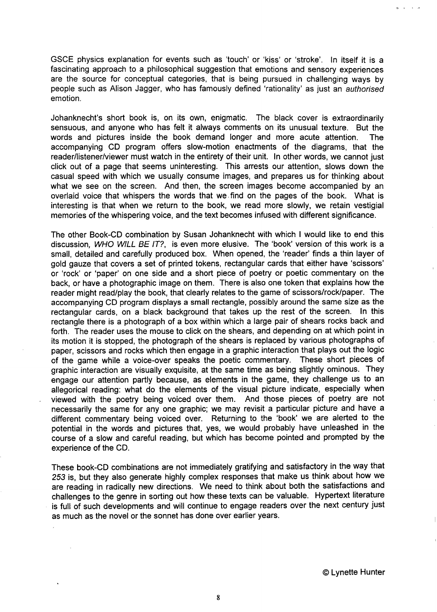GSCE physics explanation for events such as 'touch' or 'kiss' or 'stroke'. In itself it is a fascinating approach to a philosophical suggestion that emotions and sensory experiences are the source for conceptual categories, that is being pursued in challenging ways by people such as Alison Jagger, who has famously defined 'rationality' as just an *authorised* emotion.

Johanknecht's short book is, on its own, enigmatic. The black cover is extraordinarily sensuous, and anyone who has felt it always comments on its unusual texture. But the words and pictures inside the book demand longer and more acute attention. The accompanying CD program offers slow-motion enactments of the diagrams, that the reader/listener/viewer must watch in the entirety of their unit. In other words, we cannot just click out of a page that seems uninteresting. This arrests our attention, slows down the casual speed with which we usually consume images, and prepares us for thinking about what we see on the screen. And then, the screen images become accompanied by an overlaid voice that whispers the words that we find on the pages of the book. What is interesting is that when we return to the book, we read more slowly, we retain vestigial memories of the whispering voice, and the text becomes infused with different significance.

The other Book-CD combination by Susan Johanknecht with which 1 would like to end this discussion, WHO WILL BE IT?, is even more elusive. The 'book' version of this work is a small, detailed and carefully produced box. When opened, the 'reader' finds a thin layer of gold gauze that covers a set of printed tokens, rectangular cards that either have 'scissors' or 'rock' or 'paper' on one side and a short piece of poetry or poetic commentary on the back, or have a photographic image on them. There is also one token that explains how the reader might read/play the book, that clearly relates to the game of scissors/rock/paper. The accompanying CD program displays a small rectangle, possibly around the same size as the rectangular cards, on a black background that takes up the rest of the screen. In this rectangle there is a photograph of a box within which a large pair of shears rocks back and forth. The reader uses the mouse to click on the shears, and depending on at which point in its motion it is stopped, the photograph of the shears is replaced by various photographs of paper, scissors and rocks which then engage in a graphic interaction that plays out the logic of the game while a voice-over speaks the poetic commentary. These short pieces of graphic interaction are visually exquisite, at the same time as being slightly ominous. They engage our attention partly because, as elements in the game, they challenge us to an allegorical reading: what do the elements of the visual picture indicate, especially when viewed with the poetry being voiced over them. And those pieces of poetry are not necessarily the same for any one graphic; we may revisit a particular picture and have a different commentary being voiced over. Returning to the 'book' we are alerted to the potential in the words and pictures that, yes, we would probably have unleashed in the course of a slow and careful reading, but which has become pointed and prompted by the experience of the CD.

These book-CD combinations are not immediately gratifying and satisfactory in the way that 253 is, but they also generate highly complex responses that make us think about how we are reading in radically new directions. We need to think about both the satisfactions and challenges to the genre in sorting out how these texts can be valuable. Hypertext literature is full of such developments and will continue to engage readers over the next century just as much as the novel or the sonnet has done over earlier years.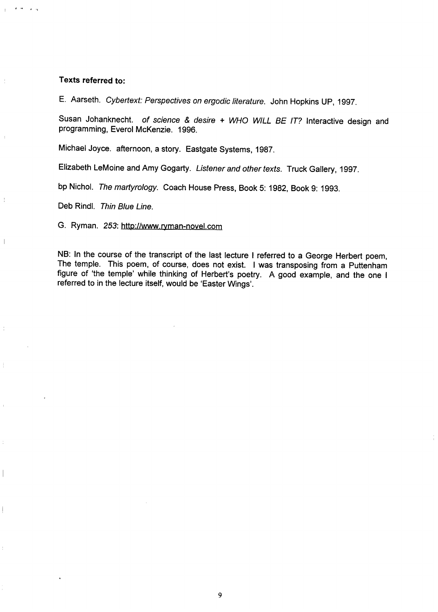#### Texts referred to:

, .< ,, ,(

 $\mathbf{I}$ 

E. Aarseth. Cybertext: Perspectives on ergodic literature. John Hopkins UP, 1997.

Susan Johanknecht. of science & desire + WHO WILL BE IT? Interactive design and programming, Everol McKenzie. 1996.

Michael Joyce. afternoon, astory. Eastgate Systems, 1987.

Elizabeth LeMoine and Amy Gogarty. Listener and other texts. Truck Gallery, 1997.

bp Nichol. The martyrology. Coach House Press, Book 5: 1982, Book 9: 1993.

Deb Rindl. Thin Blue Line.

G. Ryman. 253: http://www.ryman-novel.com

NB: In the course of the transcript of the last lecture I referred to a George Herbert poem, The temple. This poem, of course, does not exist. I was transposing from a Puttenham figure of 'the temple' while thinking of Herbert's poetry. A good example, and the one I referred to in the lecture itself, would be 'Easter Wings'.